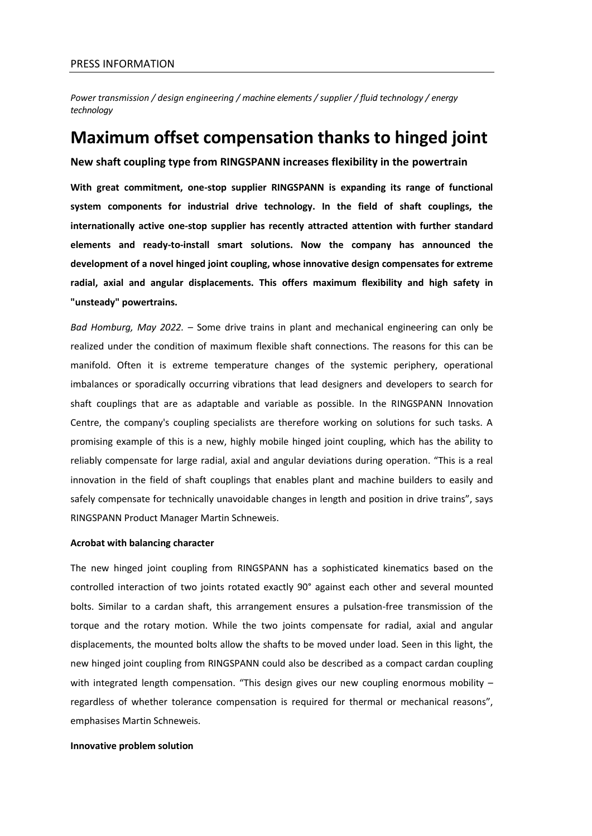*Power transmission / design engineering / machine elements/ supplier / fluid technology / energy technology*

# **Maximum offset compensation thanks to hinged joint**

**New shaft coupling type from RINGSPANN increases flexibility in the powertrain**

**With great commitment, one-stop supplier RINGSPANN is expanding its range of functional system components for industrial drive technology. In the field of shaft couplings, the internationally active one-stop supplier has recently attracted attention with further standard elements and ready-to-install smart solutions. Now the company has announced the development of a novel hinged joint coupling, whose innovative design compensates for extreme radial, axial and angular displacements. This offers maximum flexibility and high safety in "unsteady" powertrains.**

*Bad Homburg, May 2022. –* Some drive trains in plant and mechanical engineering can only be realized under the condition of maximum flexible shaft connections. The reasons for this can be manifold. Often it is extreme temperature changes of the systemic periphery, operational imbalances or sporadically occurring vibrations that lead designers and developers to search for shaft couplings that are as adaptable and variable as possible. In the RINGSPANN Innovation Centre, the company's coupling specialists are therefore working on solutions for such tasks. A promising example of this is a new, highly mobile hinged joint coupling, which has the ability to reliably compensate for large radial, axial and angular deviations during operation. "This is a real innovation in the field of shaft couplings that enables plant and machine builders to easily and safely compensate for technically unavoidable changes in length and position in drive trains", says RINGSPANN Product Manager Martin Schneweis.

## **Acrobat with balancing character**

The new hinged joint coupling from RINGSPANN has a sophisticated kinematics based on the controlled interaction of two joints rotated exactly 90° against each other and several mounted bolts. Similar to a cardan shaft, this arrangement ensures a pulsation-free transmission of the torque and the rotary motion. While the two joints compensate for radial, axial and angular displacements, the mounted bolts allow the shafts to be moved under load. Seen in this light, the new hinged joint coupling from RINGSPANN could also be described as a compact cardan coupling with integrated length compensation. "This design gives our new coupling enormous mobility – regardless of whether tolerance compensation is required for thermal or mechanical reasons", emphasises Martin Schneweis.

## **Innovative problem solution**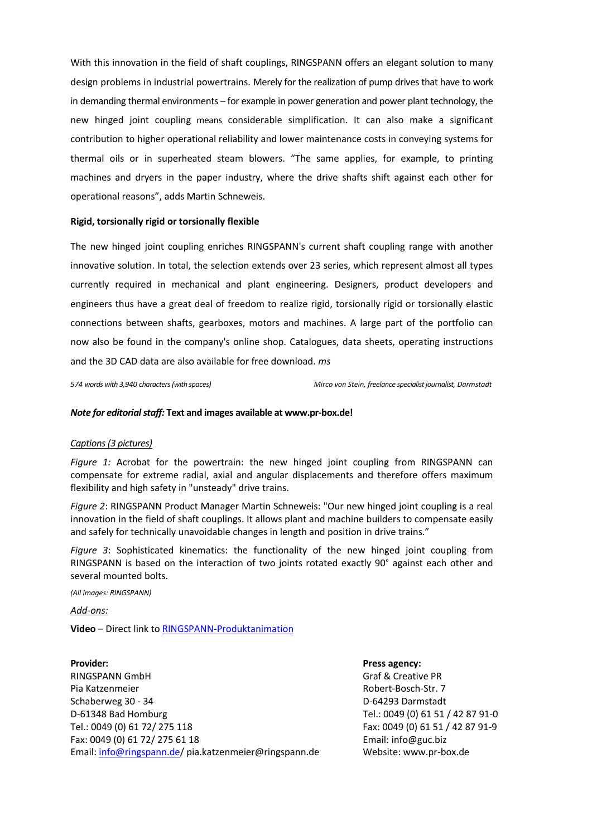With this innovation in the field of shaft couplings, RINGSPANN offers an elegant solution to many design problems in industrial powertrains. Merely for the realization of pump drives that have to work in demanding thermal environments – for example in power generation and power plant technology, the new hinged joint coupling means considerable simplification. It can also make a significant contribution to higher operational reliability and lower maintenance costs in conveying systems for thermal oils or in superheated steam blowers. "The same applies, for example, to printing machines and dryers in the paper industry, where the drive shafts shift against each other for operational reasons", adds Martin Schneweis.

## **Rigid, torsionally rigid or torsionally flexible**

The new hinged joint coupling enriches RINGSPANN's current shaft coupling range with another innovative solution. In total, the selection extends over 23 series, which represent almost all types currently required in mechanical and plant engineering. Designers, product developers and engineers thus have a great deal of freedom to realize rigid, torsionally rigid or torsionally elastic connections between shafts, gearboxes, motors and machines. A large part of the portfolio can now also be found in the company's online shop. Catalogues, data sheets, operating instructions and the 3D CAD data are also available for free download. *ms*

### *574 words with 3,940 characters (with spaces) Mirco von Stein, freelance specialist journalist, Darmstadt*

## *Note for editorial staff:* **Text and images available at www.pr-box.de!**

## *Captions (3 pictures)*

*Figure 1:* Acrobat for the powertrain: the new hinged joint coupling from RINGSPANN can compensate for extreme radial, axial and angular displacements and therefore offers maximum flexibility and high safety in "unsteady" drive trains.

*Figure 2*: RINGSPANN Product Manager Martin Schneweis: "Our new hinged joint coupling is a real innovation in the field of shaft couplings. It allows plant and machine builders to compensate easily and safely for technically unavoidable changes in length and position in drive trains."

*Figure 3*: Sophisticated kinematics: the functionality of the new hinged joint coupling from RINGSPANN is based on the interaction of two joints rotated exactly 90° against each other and several mounted bolts.

*(All images: RINGSPANN)*

*Add-ons:*

**Video** – Direct link to [RINGSPANN-Produktanimation](https://www.ringspann.de/de/service/videos)

**Provider: Press agency:** RINGSPANN GmbH Graf & Creative PR Pia Katzenmeier **Robert-Bosch-Str. 7** and 2011 and 2012 and 2012 and 2012 and 2012 and 2012 and 2012 and 2012 and 2012 and 2012 and 2012 and 2012 and 2012 and 2012 and 2012 and 2012 and 2012 and 2012 and 2012 and 2012 and Schaberweg 30 - 34 D-64293 Darmstadt D-61348 Bad Homburg Tel.: 0049 (0) 61 51 / 42 87 91-0 Tel.: 0049 (0) 61 72/ 275 118 Fax: 0049 (0) 61 51 / 42 87 91-9 Fax: 0049 (0) 61 72/ 275 61 18 Email[: info@guc.biz](mailto:info@guc.biz) Email[: info@ringspann.de/](mailto:info@ringspann.de) pia.katzenmeier@ringspann.de Website: www.pr-box.de